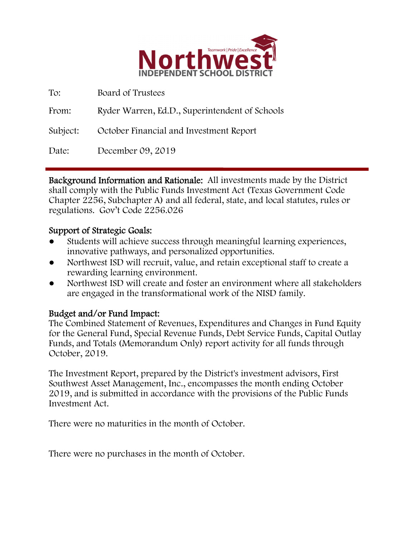

| To:      | Board of Trustees                              |
|----------|------------------------------------------------|
| From:    | Ryder Warren, Ed.D., Superintendent of Schools |
| Subject: | October Financial and Investment Report        |
| Date:    | December 09, 2019                              |

Background Information and Rationale: All investments made by the District shall comply with the Public Funds Investment Act (Texas Government Code Chapter 2256, Subchapter A) and all federal, state, and local statutes, rules or regulations. Gov't Code 2256.026

### Support of Strategic Goals:

- Students will achieve success through meaningful learning experiences, innovative pathways, and personalized opportunities.
- Northwest ISD will recruit, value, and retain exceptional staff to create a rewarding learning environment.
- Northwest ISD will create and foster an environment where all stakeholders are engaged in the transformational work of the NISD family.

## Budget and/or Fund Impact:

The Combined Statement of Revenues, Expenditures and Changes in Fund Equity for the General Fund, Special Revenue Funds, Debt Service Funds, Capital Outlay Funds, and Totals (Memorandum Only) report activity for all funds through October, 2019.

The Investment Report, prepared by the District's investment advisors, First Southwest Asset Management, Inc., encompasses the month ending October 2019, and is submitted in accordance with the provisions of the Public Funds Investment Act.

There were no maturities in the month of October.

There were no purchases in the month of October.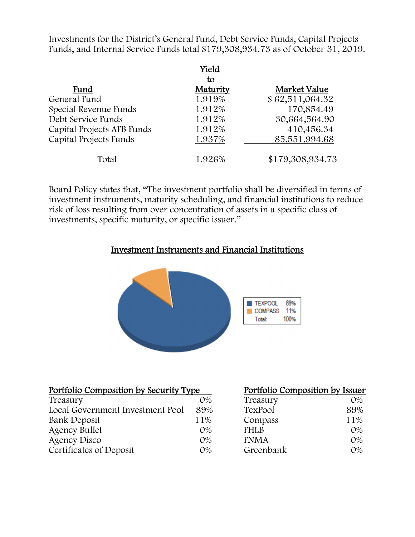Investments for the District's General Fund, Debt Service Funds, Capital Projects Funds, and Internal Service Funds total \$179,308,934.73 as of October 31, 2019.

|                            | Yield    |                  |
|----------------------------|----------|------------------|
|                            | tο       |                  |
| Fund                       | Maturity | Market Value     |
| General Fund               | 1.919%   | \$62,511,064.32  |
| Special Revenue Funds      | 1.912%   | 170,854.49       |
| Debt Service Funds         | 1.912%   | 30,664,564.90    |
| Capital Projects AFB Funds | 1.912%   | 410,456.34       |
| Capital Projects Funds     | 1.937%   | 85,551,994.68    |
| Total                      | 1.926%   | \$179,308,934.73 |

Board Policy states that, "The investment portfolio shall be diversified in terms of investment instruments, maturity scheduling, and financial institutions to reduce risk of loss resulting from over concentration of assets in a specific class of investments, specific maturity, or specific issuer."

#### Investment Instruments and Financial Institutions



| <u>Portfolio Composition by Security Type</u> | Portfolio Composition by Issuer |             |       |
|-----------------------------------------------|---------------------------------|-------------|-------|
| Treasury                                      | $O\%$                           | Treasury    | $O\%$ |
| Local Government Investment Pool              | 89%                             | TexPool     | 89%   |
| Bank Deposit                                  | 11%                             | Compass     | 11%   |
| <b>Agency Bullet</b>                          | $O\%$                           | <b>FHLB</b> | $O\%$ |
| Agency Disco                                  | $O\%$                           | <b>FNMA</b> | $O\%$ |
| Certificates of Deposit                       | $O\%$                           | Greenbank   | $O\%$ |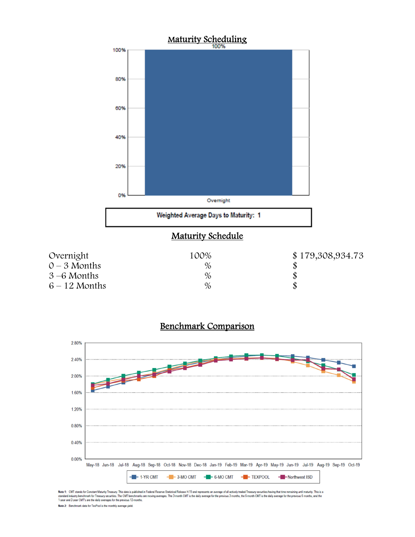





Note 1: CMT stands for Constant Maturity Treasury. This data is published in Federal Resene Statistical Release H.15 and represents an average of all actively traded Treasury securities having that time remaining until mat

Note 2: Benchmark data for TexPool is the monthly average yield.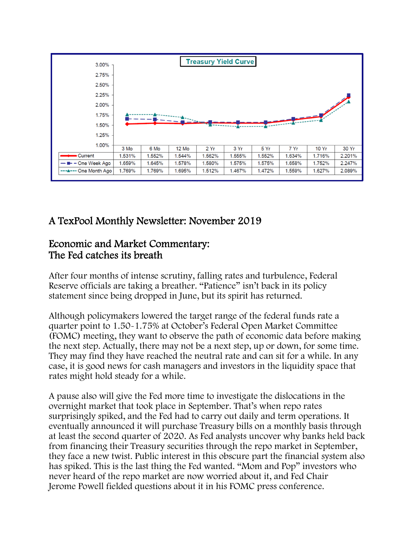

# A TexPool Monthly Newsletter: November 2019

## Economic and Market Commentary: The Fed catches its breath

After four months of intense scrutiny, falling rates and turbulence, Federal Reserve officials are taking a breather. "Patience" isn't back in its policy statement since being dropped in June, but its spirit has returned.

Although policymakers lowered the target range of the federal funds rate a quarter point to 1.50-1.75% at October's Federal Open Market Committee (FOMC) meeting, they want to observe the path of economic data before making the next step. Actually, there may not be a next step, up or down, for some time. They may find they have reached the neutral rate and can sit for a while. In any case, it is good news for cash managers and investors in the liquidity space that rates might hold steady for a while.

A pause also will give the Fed more time to investigate the dislocations in the overnight market that took place in September. That's when repo rates surprisingly spiked, and the Fed had to carry out daily and term operations. It eventually announced it will purchase Treasury bills on a monthly basis through at least the second quarter of 2020. As Fed analysts uncover why banks held back from financing their Treasury securities through the repo market in September, they face a new twist. Public interest in this obscure part the financial system also has spiked. This is the last thing the Fed wanted. "Mom and Pop" investors who never heard of the repo market are now worried about it, and Fed Chair Jerome Powell fielded questions about it in his FOMC press conference.